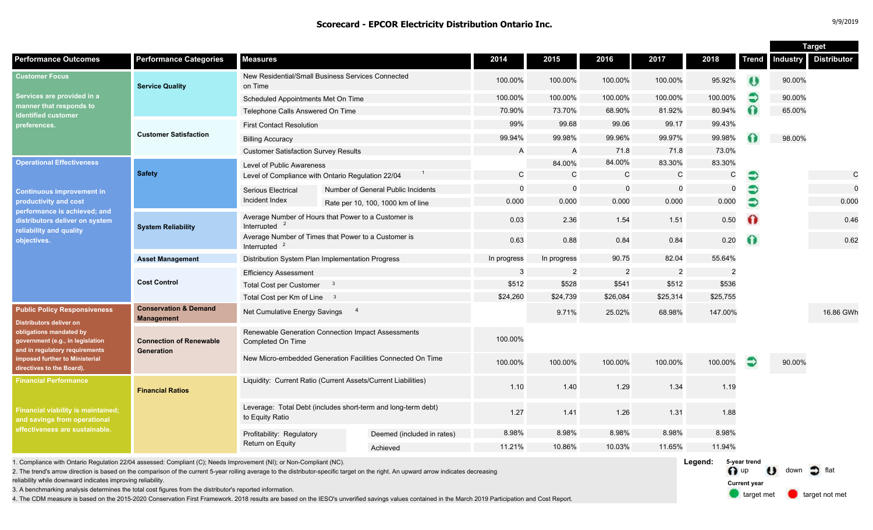|                                                                                                                                                                                                                                       |                                                                                          |                                                                                  |  |                                    |             |                |                |                |               |              | <b>Target</b>   |                    |
|---------------------------------------------------------------------------------------------------------------------------------------------------------------------------------------------------------------------------------------|------------------------------------------------------------------------------------------|----------------------------------------------------------------------------------|--|------------------------------------|-------------|----------------|----------------|----------------|---------------|--------------|-----------------|--------------------|
| <b>Performance Outcomes</b>                                                                                                                                                                                                           | <b>Performance Categories</b>                                                            | <b>Measures</b>                                                                  |  |                                    | 2014        | 2015           | 2016           | 2017           | 2018          | <b>Trend</b> | <b>Industry</b> | <b>Distributor</b> |
| <b>Customer Focus</b><br>Services are provided in a<br>manner that responds to<br><b>identified customer</b><br>preferences.                                                                                                          | <b>Service Quality</b>                                                                   | New Residential/Small Business Services Connected<br>on Time                     |  | 100.00%                            | 100.00%     | 100.00%        | 100.00%        | 95.92%         | $\bullet$     | 90.00%       |                 |                    |
|                                                                                                                                                                                                                                       |                                                                                          | Scheduled Appointments Met On Time                                               |  |                                    | 100.00%     | 100.00%        | 100.00%        | 100.00%        | 100.00%       |              | 90.00%          |                    |
|                                                                                                                                                                                                                                       |                                                                                          | Telephone Calls Answered On Time                                                 |  |                                    | 70.90%      | 73.70%         | 68.90%         | 81.92%         | 80.94%        | $\Omega$     | 65.00%          |                    |
|                                                                                                                                                                                                                                       | <b>Customer Satisfaction</b>                                                             | <b>First Contact Resolution</b>                                                  |  |                                    | 99%         | 99.68          | 99.06          | 99.17          | 99.43%        |              |                 |                    |
|                                                                                                                                                                                                                                       |                                                                                          | <b>Billing Accuracy</b>                                                          |  |                                    | 99.94%      | 99.98%         | 99.96%         | 99.97%         | 99.98%        |              | 98.00%          |                    |
|                                                                                                                                                                                                                                       |                                                                                          | <b>Customer Satisfaction Survey Results</b>                                      |  |                                    | A           | $\overline{A}$ | 71.8           | 71.8           | 73.0%         |              |                 |                    |
| <b>Operational Effectiveness</b><br><b>Continuous improvement in</b><br>productivity and cost<br>performance is achieved; and<br>distributors deliver on system<br>reliability and quality<br>objectives.                             | <b>Safety</b>                                                                            | Level of Public Awareness                                                        |  |                                    |             | 84.00%         | 84.00%         | 83.30%         | 83.30%        |              |                 |                    |
|                                                                                                                                                                                                                                       |                                                                                          | Level of Compliance with Ontario Regulation 22/04                                |  |                                    | C           | $\mathcal{C}$  | $\mathsf{C}$   | $\mathsf C$    | C             | €            |                 | C                  |
|                                                                                                                                                                                                                                       |                                                                                          | <b>Serious Electrical</b>                                                        |  | Number of General Public Incidents | $\mathbf 0$ | $\overline{0}$ | $\mathbf 0$    | $\mathbf 0$    | $\Omega$      | €            |                 | $\Omega$           |
|                                                                                                                                                                                                                                       |                                                                                          | Incident Index                                                                   |  | Rate per 10, 100, 1000 km of line  | 0.000       | 0.000          | 0.000          | 0.000          | 0.000         |              |                 | 0.000              |
|                                                                                                                                                                                                                                       | <b>System Reliability</b>                                                                | Average Number of Hours that Power to a Customer is<br>Interrupted               |  |                                    | 0.03        | 2.36           | 1.54           | 1.51           | 0.50          | $\Omega$     |                 | 0.46               |
|                                                                                                                                                                                                                                       |                                                                                          | Average Number of Times that Power to a Customer is<br>Interrupted $2$           |  |                                    | 0.63        | 0.88           | 0.84           | 0.84           | 0.20          | $\Omega$     |                 | 0.62               |
|                                                                                                                                                                                                                                       | <b>Asset Management</b>                                                                  | Distribution System Plan Implementation Progress                                 |  |                                    | In progress | In progress    | 90.75          | 82.04          | 55.64%        |              |                 |                    |
|                                                                                                                                                                                                                                       | <b>Cost Control</b>                                                                      | <b>Efficiency Assessment</b>                                                     |  |                                    | 3           | $\overline{2}$ | $\overline{2}$ | $\overline{2}$ | $\mathcal{P}$ |              |                 |                    |
|                                                                                                                                                                                                                                       |                                                                                          | <b>Total Cost per Customer</b><br>$\mathbf{3}$                                   |  |                                    | \$512       | \$528          | \$541          | \$512          | \$536         |              |                 |                    |
|                                                                                                                                                                                                                                       |                                                                                          | Total Cost per Km of Line 3                                                      |  |                                    | \$24,260    | \$24,739       | \$26,084       | \$25,314       | \$25,755      |              |                 |                    |
| <b>Public Policy Responsiveness</b><br><b>Distributors deliver on</b><br>obligations mandated by<br>government (e.g., in legislation<br>and in regulatory requirements<br>imposed further to Ministerial<br>directives to the Board). | <b>Conservation &amp; Demand</b><br><b>Management</b>                                    | $\overline{4}$<br>Net Cumulative Energy Savings                                  |  |                                    |             | 9.71%          | 25.02%         | 68.98%         | 147.00%       |              |                 | 16.86 GWh          |
|                                                                                                                                                                                                                                       | <b>Connection of Renewable</b><br>Generation                                             | Renewable Generation Connection Impact Assessments<br>Completed On Time          |  |                                    | 100.00%     |                |                |                |               |              |                 |                    |
|                                                                                                                                                                                                                                       |                                                                                          | New Micro-embedded Generation Facilities Connected On Time                       |  |                                    | 100.00%     | 100.00%        | 100.00%        | 100.00%        | 100.00%       | €            | 90.00%          |                    |
| <b>Financial Performance</b>                                                                                                                                                                                                          | Liquidity: Current Ratio (Current Assets/Current Liabilities)<br><b>Financial Ratios</b> |                                                                                  |  |                                    | 1.10        | 1.40           | 1.29           | 1.34           | 1.19          |              |                 |                    |
| Financial viability is maintained;<br>and savings from operational<br>effectiveness are sustainable.                                                                                                                                  |                                                                                          | Leverage: Total Debt (includes short-term and long-term debt)<br>to Equity Ratio |  |                                    | 1.27        | 1.41           | 1.26           | 1.31           | 1.88          |              |                 |                    |
|                                                                                                                                                                                                                                       |                                                                                          | Profitability: Regulatory<br>Return on Equity                                    |  | Deemed (included in rates)         | 8.98%       | 8.98%          | 8.98%          | 8.98%          | 8.98%         |              |                 |                    |
|                                                                                                                                                                                                                                       |                                                                                          |                                                                                  |  | Achieved                           | 11.21%      | 10.86%         | 10.03%         | 11.65%         | 11.94%        |              |                 |                    |
|                                                                                                                                                                                                                                       |                                                                                          |                                                                                  |  |                                    |             |                |                |                |               |              |                 |                    |

1. Compliance with Ontario Regulation 22/04 assessed: Compliant (C); Needs Improvement (NI); or Non-Compliant (NC).

2. The trend's arrow direction is based on the comparison of the current 5-year rolling average to the distributor-specific target on the right. An upward arrow indicates decreasing

reliability while downward indicates improving reliability.

3. A benchmarking analysis determines the total cost figures from the distributor's reported information.

4. The CDM measure is based on the 2015-2020 Conservation First Framework. 2018 results are based on the IESO's unverified savings values contained in the March 2019 Participation and Cost Report.

**Legend:** n up U down of flat target met **target not met 5-year trend Current year**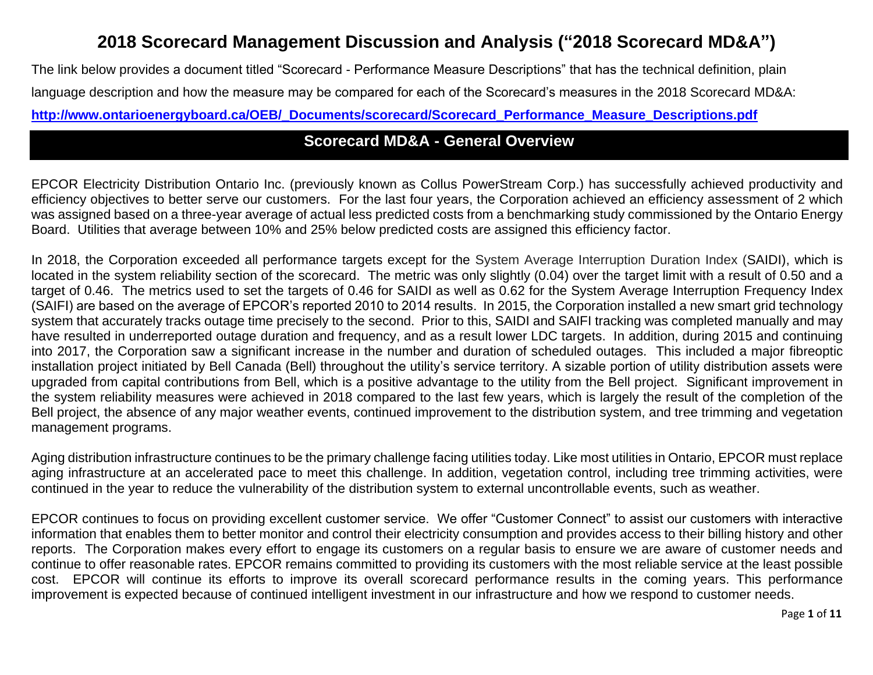# **2018 Scorecard Management Discussion and Analysis ("2018 Scorecard MD&A")**

The link below provides a document titled "Scorecard - Performance Measure Descriptions" that has the technical definition, plain language description and how the measure may be compared for each of the Scorecard's measures in the 2018 Scorecard MD&A: **[http://www.ontarioenergyboard.ca/OEB/\\_Documents/scorecard/Scorecard\\_Performance\\_Measure\\_Descriptions.pdf](http://www.ontarioenergyboard.ca/OEB/_Documents/scorecard/Scorecard_Performance_Measure_Descriptions.pdf)**

# **Scorecard MD&A - General Overview**

EPCOR Electricity Distribution Ontario Inc. (previously known as Collus PowerStream Corp.) has successfully achieved productivity and efficiency objectives to better serve our customers. For the last four years, the Corporation achieved an efficiency assessment of 2 which was assigned based on a three-year average of actual less predicted costs from a benchmarking study commissioned by the Ontario Energy Board. Utilities that average between 10% and 25% below predicted costs are assigned this efficiency factor.

In 2018, the Corporation exceeded all performance targets except for the System Average Interruption Duration Index (SAIDI), which is located in the system reliability section of the scorecard. The metric was only slightly (0.04) over the target limit with a result of 0.50 and a target of 0.46. The metrics used to set the targets of 0.46 for SAIDI as well as 0.62 for the System Average Interruption Frequency Index (SAIFI) are based on the average of EPCOR's reported 2010 to 2014 results. In 2015, the Corporation installed a new smart grid technology system that accurately tracks outage time precisely to the second. Prior to this, SAIDI and SAIFI tracking was completed manually and may have resulted in underreported outage duration and frequency, and as a result lower LDC targets. In addition, during 2015 and continuing into 2017, the Corporation saw a significant increase in the number and duration of scheduled outages. This included a major fibreoptic installation project initiated by Bell Canada (Bell) throughout the utility's service territory. A sizable portion of utility distribution assets were upgraded from capital contributions from Bell, which is a positive advantage to the utility from the Bell project. Significant improvement in the system reliability measures were achieved in 2018 compared to the last few years, which is largely the result of the completion of the Bell project, the absence of any major weather events, continued improvement to the distribution system, and tree trimming and vegetation management programs.

Aging distribution infrastructure continues to be the primary challenge facing utilities today. Like most utilities in Ontario, EPCOR must replace aging infrastructure at an accelerated pace to meet this challenge. In addition, vegetation control, including tree trimming activities, were continued in the year to reduce the vulnerability of the distribution system to external uncontrollable events, such as weather.

EPCOR continues to focus on providing excellent customer service. We offer "Customer Connect" to assist our customers with interactive information that enables them to better monitor and control their electricity consumption and provides access to their billing history and other reports. The Corporation makes every effort to engage its customers on a regular basis to ensure we are aware of customer needs and continue to offer reasonable rates. EPCOR remains committed to providing its customers with the most reliable service at the least possible cost. EPCOR will continue its efforts to improve its overall scorecard performance results in the coming years. This performance improvement is expected because of continued intelligent investment in our infrastructure and how we respond to customer needs.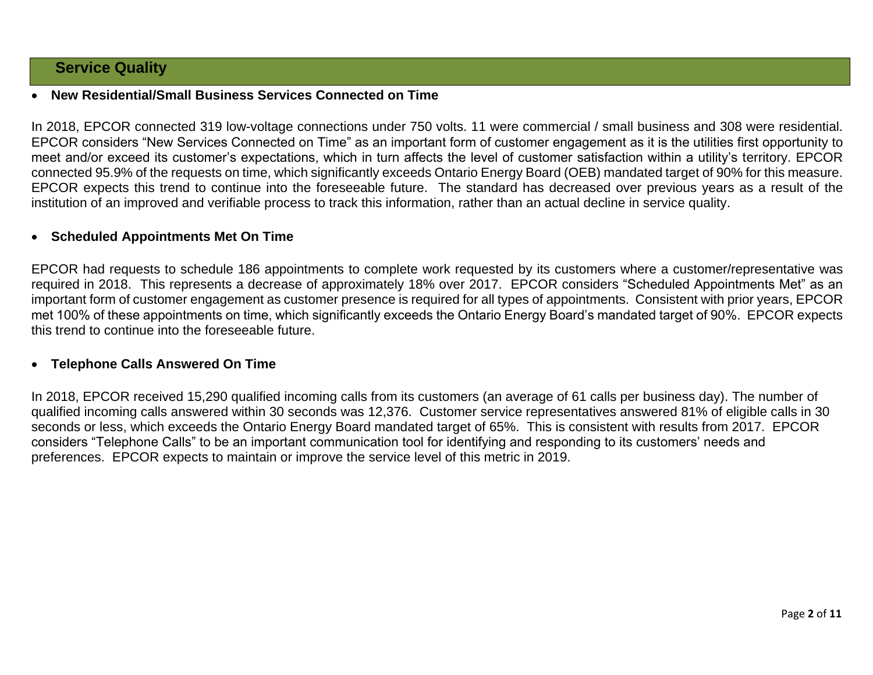# **Service Quality**

### **New Residential/Small Business Services Connected on Time**

In 2018, EPCOR connected 319 low-voltage connections under 750 volts. 11 were commercial / small business and 308 were residential. EPCOR considers "New Services Connected on Time" as an important form of customer engagement as it is the utilities first opportunity to meet and/or exceed its customer's expectations, which in turn affects the level of customer satisfaction within a utility's territory. EPCOR connected 95.9% of the requests on time, which significantly exceeds Ontario Energy Board (OEB) mandated target of 90% for this measure. EPCOR expects this trend to continue into the foreseeable future. The standard has decreased over previous years as a result of the institution of an improved and verifiable process to track this information, rather than an actual decline in service quality.

#### **Scheduled Appointments Met On Time**

EPCOR had requests to schedule 186 appointments to complete work requested by its customers where a customer/representative was required in 2018. This represents a decrease of approximately 18% over 2017. EPCOR considers "Scheduled Appointments Met" as an important form of customer engagement as customer presence is required for all types of appointments. Consistent with prior years, EPCOR met 100% of these appointments on time, which significantly exceeds the Ontario Energy Board's mandated target of 90%. EPCOR expects this trend to continue into the foreseeable future.

#### **Telephone Calls Answered On Time**

In 2018, EPCOR received 15,290 qualified incoming calls from its customers (an average of 61 calls per business day). The number of qualified incoming calls answered within 30 seconds was 12,376. Customer service representatives answered 81% of eligible calls in 30 seconds or less, which exceeds the Ontario Energy Board mandated target of 65%. This is consistent with results from 2017. EPCOR considers "Telephone Calls" to be an important communication tool for identifying and responding to its customers' needs and preferences. EPCOR expects to maintain or improve the service level of this metric in 2019.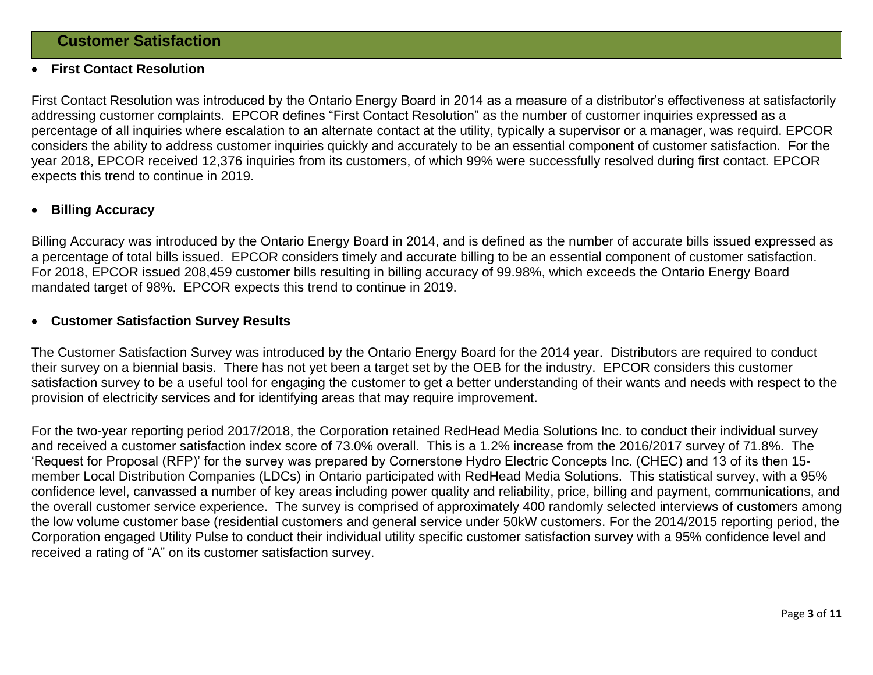#### **First Contact Resolution**

First Contact Resolution was introduced by the Ontario Energy Board in 2014 as a measure of a distributor's effectiveness at satisfactorily addressing customer complaints. EPCOR defines "First Contact Resolution" as the number of customer inquiries expressed as a percentage of all inquiries where escalation to an alternate contact at the utility, typically a supervisor or a manager, was requird. EPCOR considers the ability to address customer inquiries quickly and accurately to be an essential component of customer satisfaction. For the year 2018, EPCOR received 12,376 inquiries from its customers, of which 99% were successfully resolved during first contact. EPCOR expects this trend to continue in 2019.

#### **Billing Accuracy**

Billing Accuracy was introduced by the Ontario Energy Board in 2014, and is defined as the number of accurate bills issued expressed as a percentage of total bills issued. EPCOR considers timely and accurate billing to be an essential component of customer satisfaction. For 2018, EPCOR issued 208,459 customer bills resulting in billing accuracy of 99.98%, which exceeds the Ontario Energy Board mandated target of 98%. EPCOR expects this trend to continue in 2019.

#### **Customer Satisfaction Survey Results**

The Customer Satisfaction Survey was introduced by the Ontario Energy Board for the 2014 year. Distributors are required to conduct their survey on a biennial basis. There has not yet been a target set by the OEB for the industry. EPCOR considers this customer satisfaction survey to be a useful tool for engaging the customer to get a better understanding of their wants and needs with respect to the provision of electricity services and for identifying areas that may require improvement.

For the two-year reporting period 2017/2018, the Corporation retained RedHead Media Solutions Inc. to conduct their individual survey and received a customer satisfaction index score of 73.0% overall. This is a 1.2% increase from the 2016/2017 survey of 71.8%. The 'Request for Proposal (RFP)' for the survey was prepared by Cornerstone Hydro Electric Concepts Inc. (CHEC) and 13 of its then 15 member Local Distribution Companies (LDCs) in Ontario participated with RedHead Media Solutions. This statistical survey, with a 95% confidence level, canvassed a number of key areas including power quality and reliability, price, billing and payment, communications, and the overall customer service experience. The survey is comprised of approximately 400 randomly selected interviews of customers among the low volume customer base (residential customers and general service under 50kW customers. For the 2014/2015 reporting period, the Corporation engaged Utility Pulse to conduct their individual utility specific customer satisfaction survey with a 95% confidence level and received a rating of "A" on its customer satisfaction survey.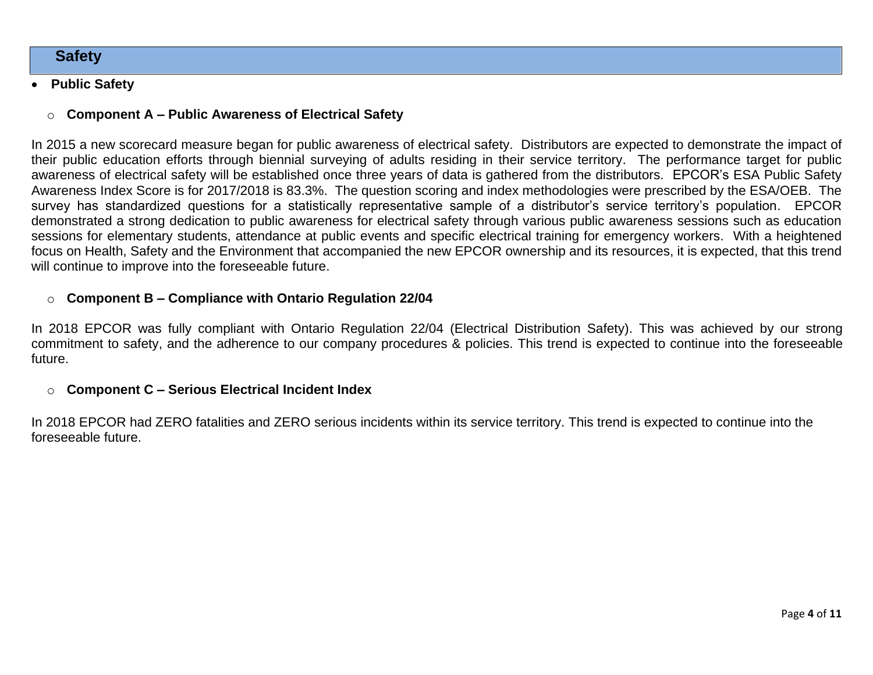# **Safety**

# **Public Safety**

# o **Component A – Public Awareness of Electrical Safety**

In 2015 a new scorecard measure began for public awareness of electrical safety. Distributors are expected to demonstrate the impact of their public education efforts through biennial surveying of adults residing in their service territory. The performance target for public awareness of electrical safety will be established once three years of data is gathered from the distributors. EPCOR's ESA Public Safety Awareness Index Score is for 2017/2018 is 83.3%. The question scoring and index methodologies were prescribed by the ESA/OEB. The survey has standardized questions for a statistically representative sample of a distributor's service territory's population. EPCOR demonstrated a strong dedication to public awareness for electrical safety through various public awareness sessions such as education sessions for elementary students, attendance at public events and specific electrical training for emergency workers. With a heightened focus on Health, Safety and the Environment that accompanied the new EPCOR ownership and its resources, it is expected, that this trend will continue to improve into the foreseeable future.

### o **Component B – Compliance with Ontario Regulation 22/04**

In 2018 EPCOR was fully compliant with Ontario Regulation 22/04 (Electrical Distribution Safety). This was achieved by our strong commitment to safety, and the adherence to our company procedures & policies. This trend is expected to continue into the foreseeable future.

### o **Component C – Serious Electrical Incident Index**

In 2018 EPCOR had ZERO fatalities and ZERO serious incidents within its service territory. This trend is expected to continue into the foreseeable future.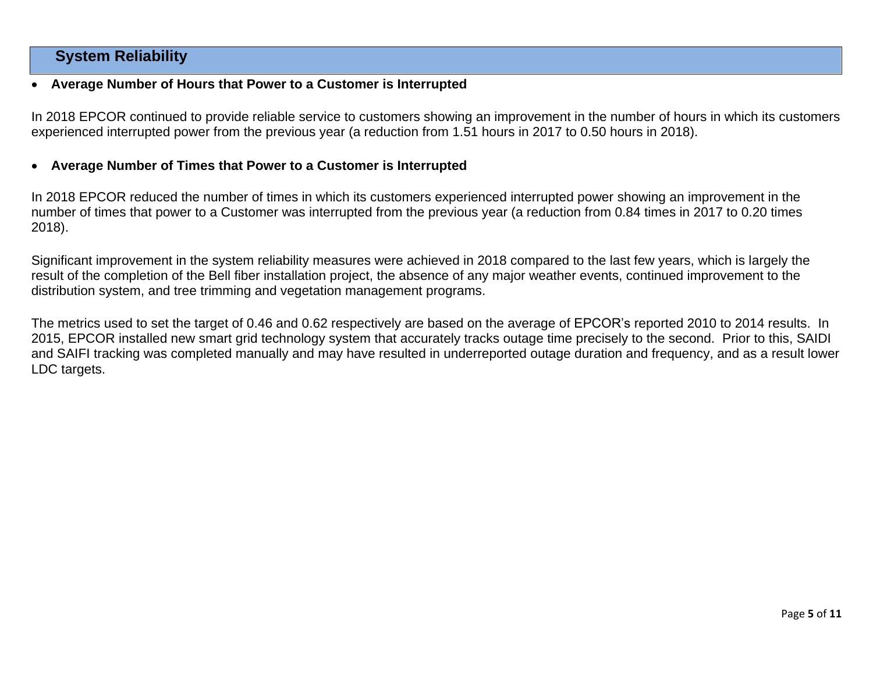# **System Reliability**

### **Average Number of Hours that Power to a Customer is Interrupted**

In 2018 EPCOR continued to provide reliable service to customers showing an improvement in the number of hours in which its customers experienced interrupted power from the previous year (a reduction from 1.51 hours in 2017 to 0.50 hours in 2018).

### **Average Number of Times that Power to a Customer is Interrupted**

In 2018 EPCOR reduced the number of times in which its customers experienced interrupted power showing an improvement in the number of times that power to a Customer was interrupted from the previous year (a reduction from 0.84 times in 2017 to 0.20 times 2018).

Significant improvement in the system reliability measures were achieved in 2018 compared to the last few years, which is largely the result of the completion of the Bell fiber installation project, the absence of any major weather events, continued improvement to the distribution system, and tree trimming and vegetation management programs.

The metrics used to set the target of 0.46 and 0.62 respectively are based on the average of EPCOR's reported 2010 to 2014 results. In 2015, EPCOR installed new smart grid technology system that accurately tracks outage time precisely to the second. Prior to this, SAIDI and SAIFI tracking was completed manually and may have resulted in underreported outage duration and frequency, and as a result lower LDC targets.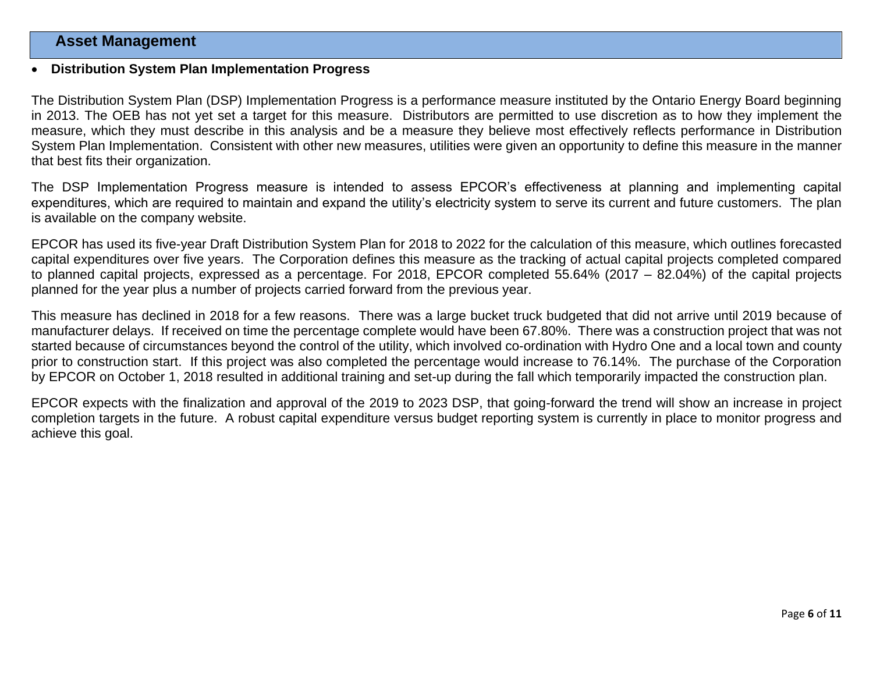# **Asset Management**

#### **Distribution System Plan Implementation Progress**

The Distribution System Plan (DSP) Implementation Progress is a performance measure instituted by the Ontario Energy Board beginning in 2013. The OEB has not yet set a target for this measure. Distributors are permitted to use discretion as to how they implement the measure, which they must describe in this analysis and be a measure they believe most effectively reflects performance in Distribution System Plan Implementation. Consistent with other new measures, utilities were given an opportunity to define this measure in the manner that best fits their organization.

The DSP Implementation Progress measure is intended to assess EPCOR's effectiveness at planning and implementing capital expenditures, which are required to maintain and expand the utility's electricity system to serve its current and future customers. The plan is available on the company website.

EPCOR has used its five-year Draft Distribution System Plan for 2018 to 2022 for the calculation of this measure, which outlines forecasted capital expenditures over five years. The Corporation defines this measure as the tracking of actual capital projects completed compared to planned capital projects, expressed as a percentage. For 2018, EPCOR completed 55.64% (2017 – 82.04%) of the capital projects planned for the year plus a number of projects carried forward from the previous year.

This measure has declined in 2018 for a few reasons. There was a large bucket truck budgeted that did not arrive until 2019 because of manufacturer delays. If received on time the percentage complete would have been 67.80%. There was a construction project that was not started because of circumstances beyond the control of the utility, which involved co-ordination with Hydro One and a local town and county prior to construction start. If this project was also completed the percentage would increase to 76.14%. The purchase of the Corporation by EPCOR on October 1, 2018 resulted in additional training and set-up during the fall which temporarily impacted the construction plan.

EPCOR expects with the finalization and approval of the 2019 to 2023 DSP, that going-forward the trend will show an increase in project completion targets in the future. A robust capital expenditure versus budget reporting system is currently in place to monitor progress and achieve this goal.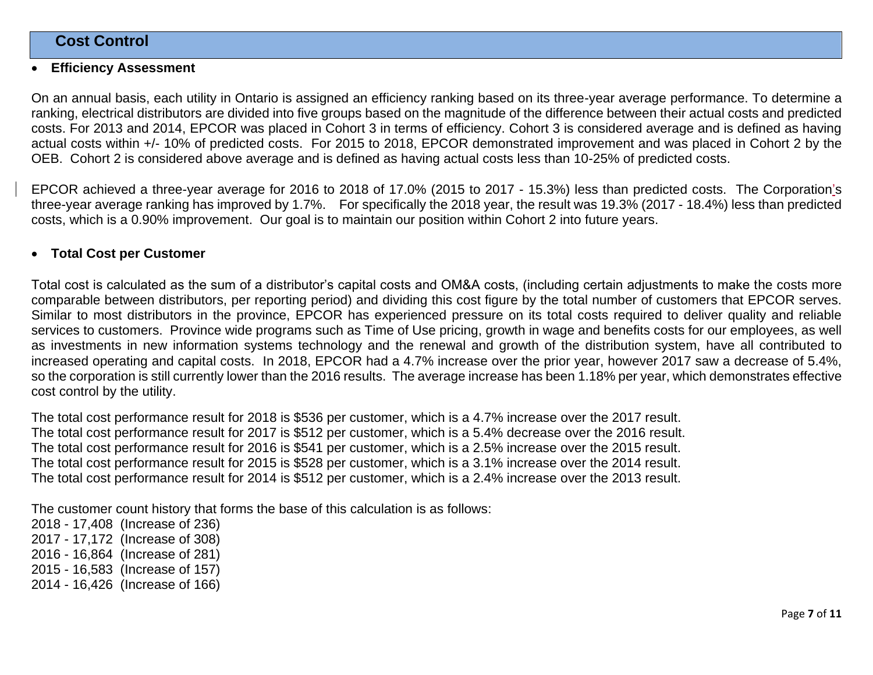# **Cost Control**

#### **Efficiency Assessment**

On an annual basis, each utility in Ontario is assigned an efficiency ranking based on its three-year average performance. To determine a ranking, electrical distributors are divided into five groups based on the magnitude of the difference between their actual costs and predicted costs. For 2013 and 2014, EPCOR was placed in Cohort 3 in terms of efficiency. Cohort 3 is considered average and is defined as having actual costs within +/- 10% of predicted costs. For 2015 to 2018, EPCOR demonstrated improvement and was placed in Cohort 2 by the OEB. Cohort 2 is considered above average and is defined as having actual costs less than 10-25% of predicted costs.

EPCOR achieved a three-year average for 2016 to 2018 of 17.0% (2015 to 2017 - 15.3%) less than predicted costs. The Corporation's three-year average ranking has improved by 1.7%. For specifically the 2018 year, the result was 19.3% (2017 - 18.4%) less than predicted costs, which is a 0.90% improvement. Our goal is to maintain our position within Cohort 2 into future years.

### **Total Cost per Customer**

Total cost is calculated as the sum of a distributor's capital costs and OM&A costs, (including certain adjustments to make the costs more comparable between distributors, per reporting period) and dividing this cost figure by the total number of customers that EPCOR serves. Similar to most distributors in the province, EPCOR has experienced pressure on its total costs required to deliver quality and reliable services to customers. Province wide programs such as Time of Use pricing, growth in wage and benefits costs for our employees, as well as investments in new information systems technology and the renewal and growth of the distribution system, have all contributed to increased operating and capital costs. In 2018, EPCOR had a 4.7% increase over the prior year, however 2017 saw a decrease of 5.4%, so the corporation is still currently lower than the 2016 results. The average increase has been 1.18% per year, which demonstrates effective cost control by the utility.

The total cost performance result for 2018 is \$536 per customer, which is a 4.7% increase over the 2017 result. The total cost performance result for 2017 is \$512 per customer, which is a 5.4% decrease over the 2016 result. The total cost performance result for 2016 is \$541 per customer, which is a 2.5% increase over the 2015 result. The total cost performance result for 2015 is \$528 per customer, which is a 3.1% increase over the 2014 result. The total cost performance result for 2014 is \$512 per customer, which is a 2.4% increase over the 2013 result.

The customer count history that forms the base of this calculation is as follows:

2018 - 17,408 (Increase of 236) 2017 - 17,172 (Increase of 308) 2016 - 16,864 (Increase of 281) 2015 - 16,583 (Increase of 157) 2014 - 16,426 (Increase of 166)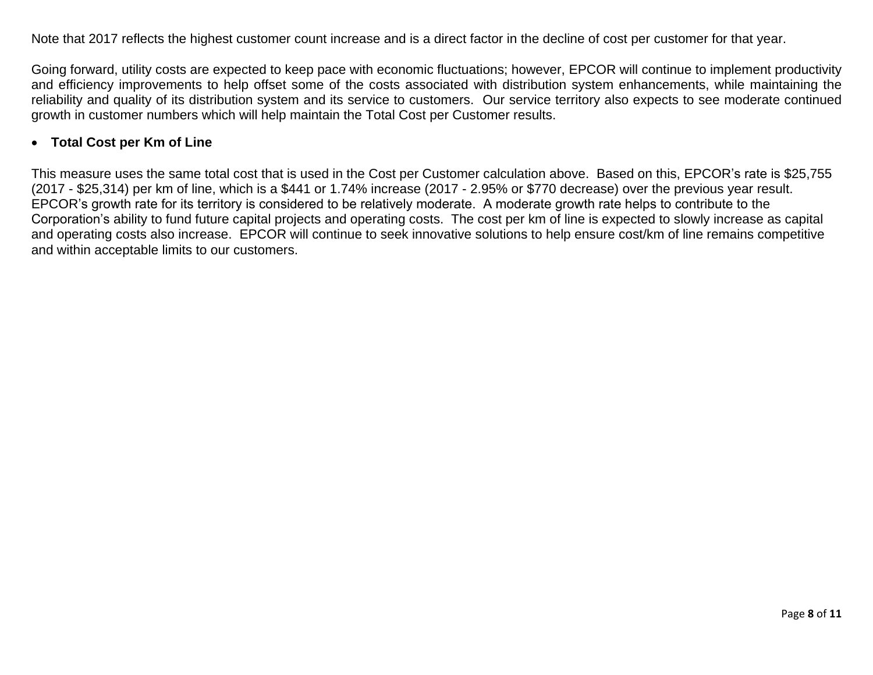Note that 2017 reflects the highest customer count increase and is a direct factor in the decline of cost per customer for that year.

Going forward, utility costs are expected to keep pace with economic fluctuations; however, EPCOR will continue to implement productivity and efficiency improvements to help offset some of the costs associated with distribution system enhancements, while maintaining the reliability and quality of its distribution system and its service to customers. Our service territory also expects to see moderate continued growth in customer numbers which will help maintain the Total Cost per Customer results.

# **Total Cost per Km of Line**

This measure uses the same total cost that is used in the Cost per Customer calculation above. Based on this, EPCOR's rate is \$25,755 (2017 - \$25,314) per km of line, which is a \$441 or 1.74% increase (2017 - 2.95% or \$770 decrease) over the previous year result. EPCOR's growth rate for its territory is considered to be relatively moderate. A moderate growth rate helps to contribute to the Corporation's ability to fund future capital projects and operating costs. The cost per km of line is expected to slowly increase as capital and operating costs also increase. EPCOR will continue to seek innovative solutions to help ensure cost/km of line remains competitive and within acceptable limits to our customers.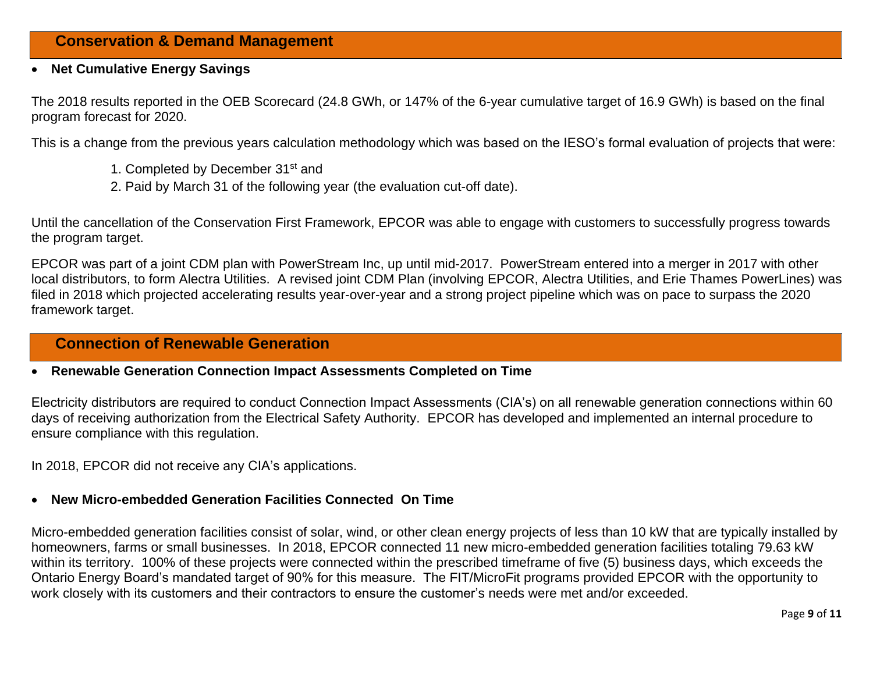# **Conservation & Demand Management**

#### **Net Cumulative Energy Savings**

The 2018 results reported in the OEB Scorecard (24.8 GWh, or 147% of the 6-year cumulative target of 16.9 GWh) is based on the final program forecast for 2020.

This is a change from the previous years calculation methodology which was based on the IESO's formal evaluation of projects that were:

- 1. Completed by December 31<sup>st</sup> and
- 2. Paid by March 31 of the following year (the evaluation cut-off date).

Until the cancellation of the Conservation First Framework, EPCOR was able to engage with customers to successfully progress towards the program target.

EPCOR was part of a joint CDM plan with PowerStream Inc, up until mid-2017. PowerStream entered into a merger in 2017 with other local distributors, to form Alectra Utilities. A revised joint CDM Plan (involving EPCOR, Alectra Utilities, and Erie Thames PowerLines) was filed in 2018 which projected accelerating results year-over-year and a strong project pipeline which was on pace to surpass the 2020 framework target.

# **Connection of Renewable Generation**

#### **Renewable Generation Connection Impact Assessments Completed on Time**

Electricity distributors are required to conduct Connection Impact Assessments (CIA's) on all renewable generation connections within 60 days of receiving authorization from the Electrical Safety Authority. EPCOR has developed and implemented an internal procedure to ensure compliance with this regulation.

In 2018, EPCOR did not receive any CIA's applications.

# **New Micro-embedded Generation Facilities Connected On Time**

Micro-embedded generation facilities consist of solar, wind, or other clean energy projects of less than 10 kW that are typically installed by homeowners, farms or small businesses. In 2018, EPCOR connected 11 new micro-embedded generation facilities totaling 79.63 kW within its territory. 100% of these projects were connected within the prescribed timeframe of five (5) business days, which exceeds the Ontario Energy Board's mandated target of 90% for this measure. The FIT/MicroFit programs provided EPCOR with the opportunity to work closely with its customers and their contractors to ensure the customer's needs were met and/or exceeded.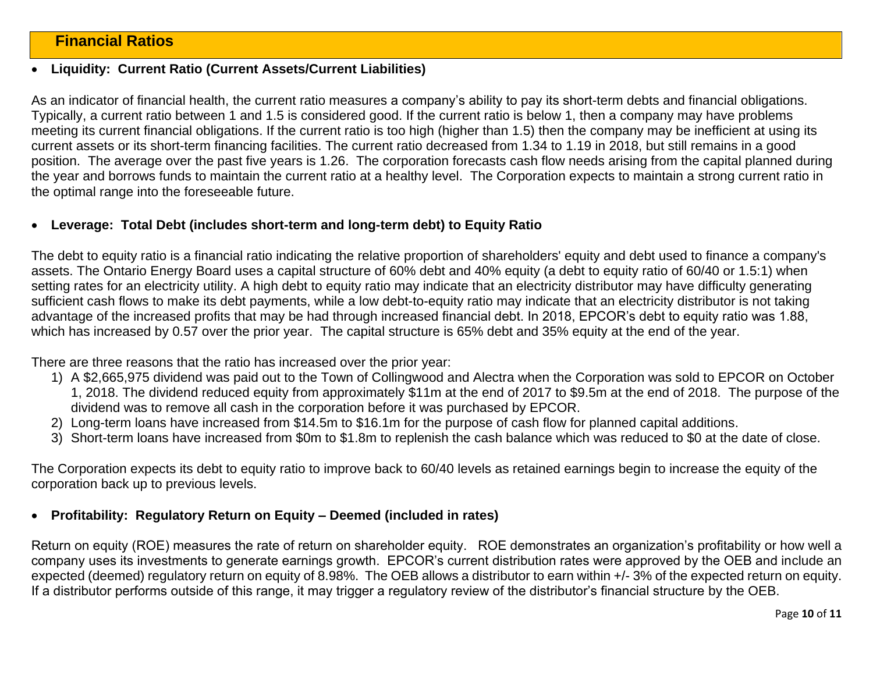# **Financial Ratios**

#### **Liquidity: Current Ratio (Current Assets/Current Liabilities)**

As an indicator of financial health, the current ratio measures a company's ability to pay its short-term debts and financial obligations. Typically, a current ratio between 1 and 1.5 is considered good. If the current ratio is below 1, then a company may have problems meeting its current financial obligations. If the current ratio is too high (higher than 1.5) then the company may be inefficient at using its current assets or its short-term financing facilities. The current ratio decreased from 1.34 to 1.19 in 2018, but still remains in a good position. The average over the past five years is 1.26. The corporation forecasts cash flow needs arising from the capital planned during the year and borrows funds to maintain the current ratio at a healthy level. The Corporation expects to maintain a strong current ratio in the optimal range into the foreseeable future.

#### **Leverage: Total Debt (includes short-term and long-term debt) to Equity Ratio**

The debt to equity ratio is a financial ratio indicating the relative proportion of shareholders' equity and debt used to finance a company's assets. The Ontario Energy Board uses a capital structure of 60% debt and 40% equity (a debt to equity ratio of 60/40 or 1.5:1) when setting rates for an electricity utility. A high debt to equity ratio may indicate that an electricity distributor may have difficulty generating sufficient cash flows to make its debt payments, while a low debt-to-equity ratio may indicate that an electricity distributor is not taking advantage of the increased profits that may be had through increased financial debt. In 2018, EPCOR's debt to equity ratio was 1.88, which has increased by 0.57 over the prior year. The capital structure is 65% debt and 35% equity at the end of the year.

There are three reasons that the ratio has increased over the prior year:

- 1) A \$2,665,975 dividend was paid out to the Town of Collingwood and Alectra when the Corporation was sold to EPCOR on October 1, 2018. The dividend reduced equity from approximately \$11m at the end of 2017 to \$9.5m at the end of 2018. The purpose of the dividend was to remove all cash in the corporation before it was purchased by EPCOR.
- 2) Long-term loans have increased from \$14.5m to \$16.1m for the purpose of cash flow for planned capital additions.
- 3) Short-term loans have increased from \$0m to \$1.8m to replenish the cash balance which was reduced to \$0 at the date of close.

The Corporation expects its debt to equity ratio to improve back to 60/40 levels as retained earnings begin to increase the equity of the corporation back up to previous levels.

### **Profitability: Regulatory Return on Equity – Deemed (included in rates)**

Return on equity (ROE) measures the rate of return on shareholder equity. ROE demonstrates an organization's profitability or how well a company uses its investments to generate earnings growth. EPCOR's current distribution rates were approved by the OEB and include an expected (deemed) regulatory return on equity of 8.98%. The OEB allows a distributor to earn within +/- 3% of the expected return on equity. If a distributor performs outside of this range, it may trigger a regulatory review of the distributor's financial structure by the OEB.